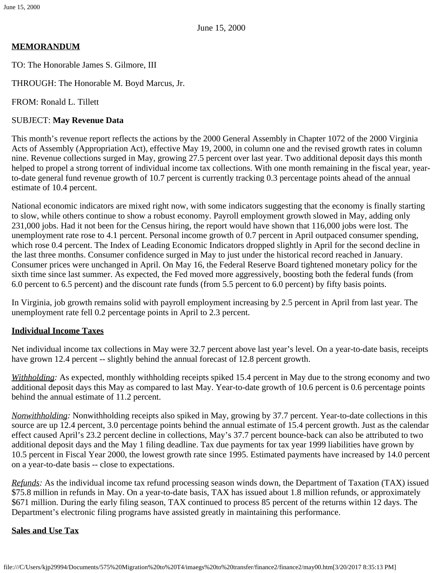# **MEMORANDUM**

TO: The Honorable James S. Gilmore, III

THROUGH: The Honorable M. Boyd Marcus, Jr.

FROM: Ronald L. Tillett

### SUBJECT: **May Revenue Data**

This month's revenue report reflects the actions by the 2000 General Assembly in Chapter 1072 of the 2000 Virginia Acts of Assembly (Appropriation Act), effective May 19, 2000, in column one and the revised growth rates in column nine. Revenue collections surged in May, growing 27.5 percent over last year. Two additional deposit days this month helped to propel a strong torrent of individual income tax collections. With one month remaining in the fiscal year, yearto-date general fund revenue growth of 10.7 percent is currently tracking 0.3 percentage points ahead of the annual estimate of 10.4 percent.

National economic indicators are mixed right now, with some indicators suggesting that the economy is finally starting to slow, while others continue to show a robust economy. Payroll employment growth slowed in May, adding only 231,000 jobs. Had it not been for the Census hiring, the report would have shown that 116,000 jobs were lost. The unemployment rate rose to 4.1 percent. Personal income growth of 0.7 percent in April outpaced consumer spending, which rose 0.4 percent. The Index of Leading Economic Indicators dropped slightly in April for the second decline in the last three months. Consumer confidence surged in May to just under the historical record reached in January. Consumer prices were unchanged in April. On May 16, the Federal Reserve Board tightened monetary policy for the sixth time since last summer. As expected, the Fed moved more aggressively, boosting both the federal funds (from 6.0 percent to 6.5 percent) and the discount rate funds (from 5.5 percent to 6.0 percent) by fifty basis points.

In Virginia, job growth remains solid with payroll employment increasing by 2.5 percent in April from last year. The unemployment rate fell 0.2 percentage points in April to 2.3 percent.

# **Individual Income Taxes**

Net individual income tax collections in May were 32.7 percent above last year's level. On a year-to-date basis, receipts have grown 12.4 percent -- slightly behind the annual forecast of 12.8 percent growth.

*Withholding:* As expected, monthly withholding receipts spiked 15.4 percent in May due to the strong economy and two additional deposit days this May as compared to last May. Year-to-date growth of 10.6 percent is 0.6 percentage points behind the annual estimate of 11.2 percent.

*Nonwithholding:* Nonwithholding receipts also spiked in May, growing by 37.7 percent. Year-to-date collections in this source are up 12.4 percent, 3.0 percentage points behind the annual estimate of 15.4 percent growth. Just as the calendar effect caused April's 23.2 percent decline in collections, May's 37.7 percent bounce-back can also be attributed to two additional deposit days and the May 1 filing deadline. Tax due payments for tax year 1999 liabilities have grown by 10.5 percent in Fiscal Year 2000, the lowest growth rate since 1995. Estimated payments have increased by 14.0 percent on a year-to-date basis -- close to expectations.

*Refunds:* As the individual income tax refund processing season winds down, the Department of Taxation (TAX) issued \$75.8 million in refunds in May. On a year-to-date basis, TAX has issued about 1.8 million refunds, or approximately \$671 million. During the early filing season, TAX continued to process 85 percent of the returns within 12 days. The Department's electronic filing programs have assisted greatly in maintaining this performance.

#### **Sales and Use Tax**